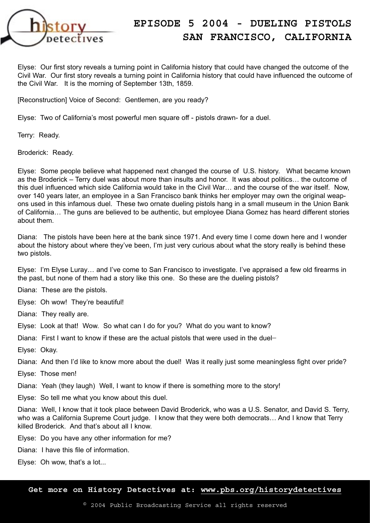

Elyse: Our first story reveals a turning point in California history that could have changed the outcome of the Civil War. Our first story reveals a turning point in California history that could have influenced the outcome of the Civil War. It is the morning of September 13th, 1859.

[Reconstruction] Voice of Second: Gentlemen, are you ready?

Elyse: Two of California's most powerful men square off - pistols drawn- for a duel.

Terry: Ready.

Broderick: Ready.

Elyse: Some people believe what happened next changed the course of U.S. history. What became known as the Broderick – Terry duel was about more than insults and honor. It was about politics… the outcome of this duel influenced which side California would take in the Civil War… and the course of the war itself. Now, over 140 years later, an employee in a San Francisco bank thinks her employer may own the original weapons used in this infamous duel. These two ornate dueling pistols hang in a small museum in the Union Bank of California… The guns are believed to be authentic, but employee Diana Gomez has heard different stories about them.

Diana: The pistols have been here at the bank since 1971. And every time I come down here and I wonder about the history about where they've been, I'm just very curious about what the story really is behind these two pistols.

Elyse: I'm Elyse Luray… and I've come to San Francisco to investigate. I've appraised a few old firearms in the past, but none of them had a story like this one. So these are the dueling pistols?

Diana: These are the pistols.

Elyse: Oh wow! They're beautiful!

Diana: They really are.

Elyse: Look at that! Wow. So what can I do for you? What do you want to know?

Diana: First I want to know if these are the actual pistols that were used in the duel-

Elyse: Okay.

Diana: And then I'd like to know more about the duel! Was it really just some meaningless fight over pride?

Elyse: Those men!

Diana: Yeah (they laugh) Well, I want to know if there is something more to the story!

Elyse: So tell me what you know about this duel.

Diana: Well, I know that it took place between David Broderick, who was a U.S. Senator, and David S. Terry, who was a California Supreme Court judge. I know that they were both democrats... And I know that Terry killed Broderick. And that's about all I know.

Elyse: Do you have any other information for me?

Diana: I have this file of information.

Elyse: Oh wow, that's a lot...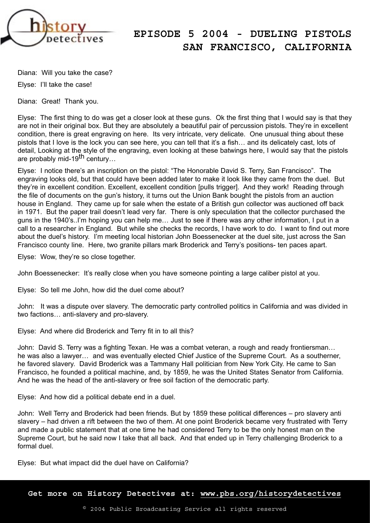

Diana: Will you take the case?

Elyse: I'll take the case!

Diana: Great! Thank you.

Elyse: The first thing to do was get a closer look at these guns. Ok the first thing that I would say is that they are not in their original box. But they are absolutely a beautiful pair of percussion pistols. They're in excellent condition, there is great engraving on here. Its very intricate, very delicate. One unusual thing about these pistols that I love is the lock you can see here, you can tell that it's a fish… and its delicately cast, lots of detail, Looking at the style of the engraving, even looking at these batwings here, I would say that the pistols are probably mid-19th century…

Elyse: I notice there's an inscription on the pistol: "The Honorable David S. Terry, San Francisco". The engraving looks old, but that could have been added later to make it look like they came from the duel. But they're in excellent condition. Excellent, excellent condition [pulls trigger]. And they work! Reading through the file of documents on the gun's history, it turns out the Union Bank bought the pistols from an auction house in England. They came up for sale when the estate of a British gun collector was auctioned off back in 1971. But the paper trail doesn't lead very far. There is only speculation that the collector purchased the guns in the 1940's..I'm hoping you can help me… Just to see if there was any other information, I put in a call to a researcher in England. But while she checks the records, I have work to do. I want to find out more about the duel's history. I'm meeting local historian John Boessenecker at the duel site, just across the San Francisco county line. Here, two granite pillars mark Broderick and Terry's positions- ten paces apart.

Elyse: Wow, they're so close together.

John Boessenecker: It's really close when you have someone pointing a large caliber pistol at you.

Elyse: So tell me John, how did the duel come about?

John: It was a dispute over slavery. The democratic party controlled politics in California and was divided in two factions… anti-slavery and pro-slavery.

Elyse: And where did Broderick and Terry fit in to all this?

John: David S. Terry was a fighting Texan. He was a combat veteran, a rough and ready frontiersman… he was also a lawyer… and was eventually elected Chief Justice of the Supreme Court. As a southerner, he favored slavery. David Broderick was a Tammany Hall politician from New York City. He came to San Francisco, he founded a political machine, and, by 1859, he was the United States Senator from California. And he was the head of the anti-slavery or free soil faction of the democratic party.

Elyse: And how did a political debate end in a duel.

John: Well Terry and Broderick had been friends. But by 1859 these political differences – pro slavery anti slavery – had driven a rift between the two of them. At one point Broderick became very frustrated with Terry and made a public statement that at one time he had considered Terry to be the only honest man on the Supreme Court, but he said now I take that all back. And that ended up in Terry challenging Broderick to a formal duel.

Elyse: But what impact did the duel have on California?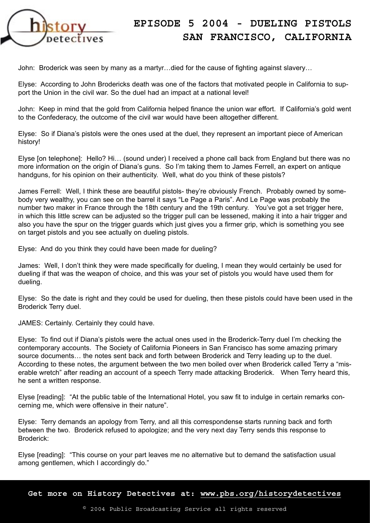

John: Broderick was seen by many as a martyr…died for the cause of fighting against slavery…

Elyse: According to John Brodericks death was one of the factors that motivated people in California to support the Union in the civil war. So the duel had an impact at a national level!

John: Keep in mind that the gold from California helped finance the union war effort. If California's gold went to the Confederacy, the outcome of the civil war would have been altogether different.

Elyse: So if Diana's pistols were the ones used at the duel, they represent an important piece of American history!

Elyse [on telephone]: Hello? Hi… (sound under) I received a phone call back from England but there was no more information on the origin of Diana's guns. So I'm taking them to James Ferrell, an expert on antique handguns, for his opinion on their authenticity. Well, what do you think of these pistols?

James Ferrell: Well, I think these are beautiful pistols- they're obviously French. Probably owned by somebody very wealthy, you can see on the barrel it says "Le Page a Paris". And Le Page was probably the number two maker in France through the 18th century and the 19th century. You've got a set trigger here, in which this little screw can be adjusted so the trigger pull can be lessened, making it into a hair trigger and also you have the spur on the trigger guards which just gives you a firmer grip, which is something you see on target pistols and you see actually on dueling pistols.

Elyse: And do you think they could have been made for dueling?

James: Well, I don't think they were made specifically for dueling, I mean they would certainly be used for dueling if that was the weapon of choice, and this was your set of pistols you would have used them for dueling.

Elyse: So the date is right and they could be used for dueling, then these pistols could have been used in the Broderick Terry duel.

JAMES: Certainly. Certainly they could have.

Elyse: To find out if Diana's pistols were the actual ones used in the Broderick-Terry duel I'm checking the contemporary accounts. The Society of California Pioneers in San Francisco has some amazing primary source documents… the notes sent back and forth between Broderick and Terry leading up to the duel. According to these notes, the argument between the two men boiled over when Broderick called Terry a "miserable wretch" after reading an account of a speech Terry made attacking Broderick. When Terry heard this, he sent a written response.

Elyse [reading]: "At the public table of the International Hotel, you saw fit to indulge in certain remarks concerning me, which were offensive in their nature".

Elyse: Terry demands an apology from Terry, and all this correspondense starts running back and forth between the two. Broderick refused to apologize; and the very next day Terry sends this response to Broderick:

Elyse [reading]: "This course on your part leaves me no alternative but to demand the satisfaction usual among gentlemen, which I accordingly do."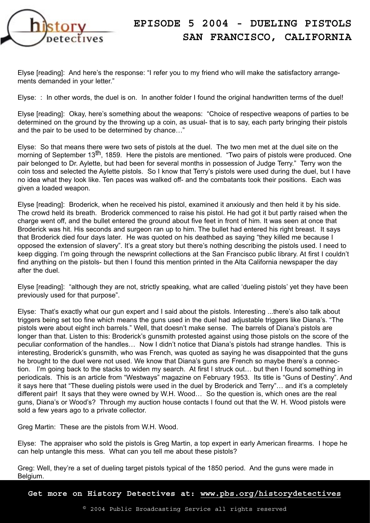

Elyse [reading]: And here's the response: "I refer you to my friend who will make the satisfactory arrangements demanded in your letter."

Elyse: : In other words, the duel is on. In another folder I found the original handwritten terms of the duel!

Elyse [reading]: Okay, here's something about the weapons: "Choice of respective weapons of parties to be determined on the ground by the throwing up a coin, as usual- that is to say, each party bringing their pistols and the pair to be used to be determined by chance…"

Elyse: So that means there were two sets of pistols at the duel. The two men met at the duel site on the morning of September 13<sup>th</sup>, 1859. Here the pistols are mentioned. "Two pairs of pistols were produced. One pair belonged to Dr. Aylette, but had been for several months in possession of Judge Terry." Terry won the coin toss and selected the Aylette pistols. So I know that Terry's pistols were used during the duel, but I have no idea what they look like. Ten paces was walked off- and the combatants took their positions. Each was given a loaded weapon.

Elyse [reading]: Broderick, when he received his pistol, examined it anxiously and then held it by his side. The crowd held its breath. Broderick commenced to raise his pistol. He had got it but partly raised when the charge went off, and the bullet entered the ground about five feet in front of him. It was seen at once that Broderick was hit. His seconds and surgeon ran up to him. The bullet had entered his right breast. It says that Broderick died four days later. He was quoted on his deathbed as saying "they killed me because I opposed the extension of slavery". It's a great story but there's nothing describing the pistols used. I need to keep digging. I'm going through the newsprint collections at the San Francisco public library. At first I couldn't find anything on the pistols- but then I found this mention printed in the Alta California newspaper the day after the duel.

Elyse [reading]: "although they are not, strictly speaking, what are called 'dueling pistols' yet they have been previously used for that purpose".

Elyse: That's exactly what our gun expert and I said about the pistols. Interesting ...there's also talk about triggers being set too fine which means the guns used in the duel had adjustable triggers like Diana's. "The pistols were about eight inch barrels." Well, that doesn't make sense. The barrels of Diana's pistols are longer than that. Listen to this: Broderick's gunsmith protested against using those pistols on the score of the peculiar conformation of the handles… Now I didn't notice that Diana's pistols had strange handles. This is interesting, Broderick's gunsmith, who was French, was quoted as saying he was disappointed that the guns he brought to the duel were not used. We know that Diana's guns are French so maybe there's a connection. I'm going back to the stacks to widen my search. At first I struck out… but then I found something in periodicals. This is an article from "Westways" magazine on February 1953. Its title is "Guns of Destiny". And it says here that "These dueling pistols were used in the duel by Broderick and Terry"… and it's a completely different pair! It says that they were owned by W.H. Wood… So the question is, which ones are the real guns, Diana's or Wood's? Through my auction house contacts I found out that the W. H. Wood pistols were sold a few years ago to a private collector.

Greg Martin: These are the pistols from W.H. Wood.

Elyse: The appraiser who sold the pistols is Greg Martin, a top expert in early American firearms. I hope he can help untangle this mess. What can you tell me about these pistols?

Greg: Well, they're a set of dueling target pistols typical of the 1850 period. And the guns were made in Belgium.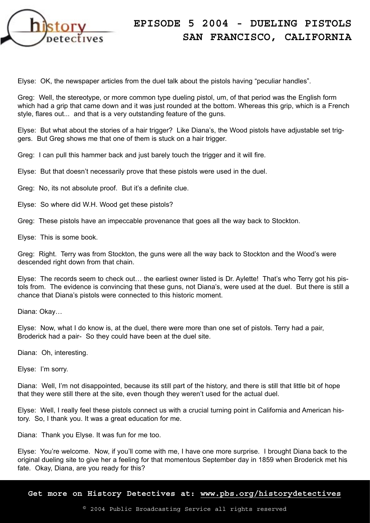

Elyse: OK, the newspaper articles from the duel talk about the pistols having "peculiar handles".

Greg: Well, the stereotype, or more common type dueling pistol, um, of that period was the English form which had a grip that came down and it was just rounded at the bottom. Whereas this grip, which is a French style, flares out... and that is a very outstanding feature of the guns.

Elyse: But what about the stories of a hair trigger? Like Diana's, the Wood pistols have adjustable set triggers. But Greg shows me that one of them is stuck on a hair trigger.

Greg: I can pull this hammer back and just barely touch the trigger and it will fire.

Elyse: But that doesn't necessarily prove that these pistols were used in the duel.

Greg: No, its not absolute proof. But it's a definite clue.

Elyse: So where did W.H. Wood get these pistols?

Greg: These pistols have an impeccable provenance that goes all the way back to Stockton.

Elyse: This is some book.

Greg: Right. Terry was from Stockton, the guns were all the way back to Stockton and the Wood's were descended right down from that chain.

Elyse: The records seem to check out… the earliest owner listed is Dr. Aylette! That's who Terry got his pistols from. The evidence is convincing that these guns, not Diana's, were used at the duel. But there is still a chance that Diana's pistols were connected to this historic moment.

Diana: Okay…

Elyse: Now, what I do know is, at the duel, there were more than one set of pistols. Terry had a pair, Broderick had a pair- So they could have been at the duel site.

Diana: Oh, interesting.

Elyse: I'm sorry.

Diana: Well, I'm not disappointed, because its still part of the history, and there is still that little bit of hope that they were still there at the site, even though they weren't used for the actual duel.

Elyse: Well, I really feel these pistols connect us with a crucial turning point in California and American history. So, I thank you. It was a great education for me.

Diana: Thank you Elyse. It was fun for me too.

Elyse: You're welcome. Now, if you'll come with me, I have one more surprise. I brought Diana back to the original dueling site to give her a feeling for that momentous September day in 1859 when Broderick met his fate. Okay, Diana, are you ready for this?